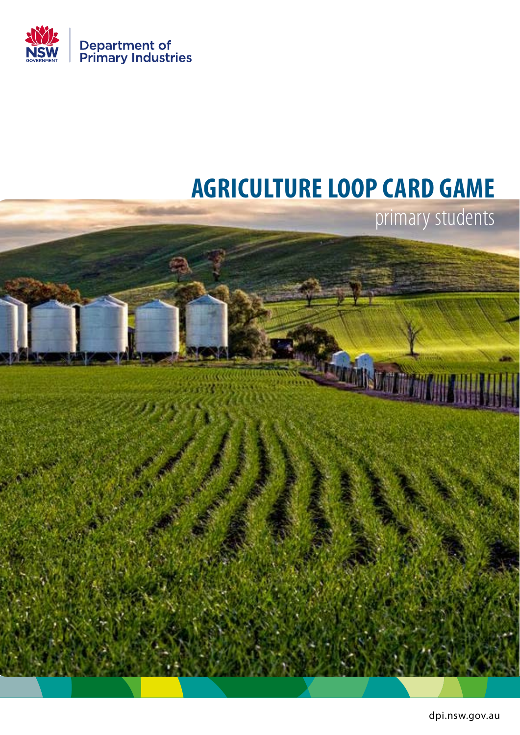

## **AGRICULTURE LOOP CARD GAME**



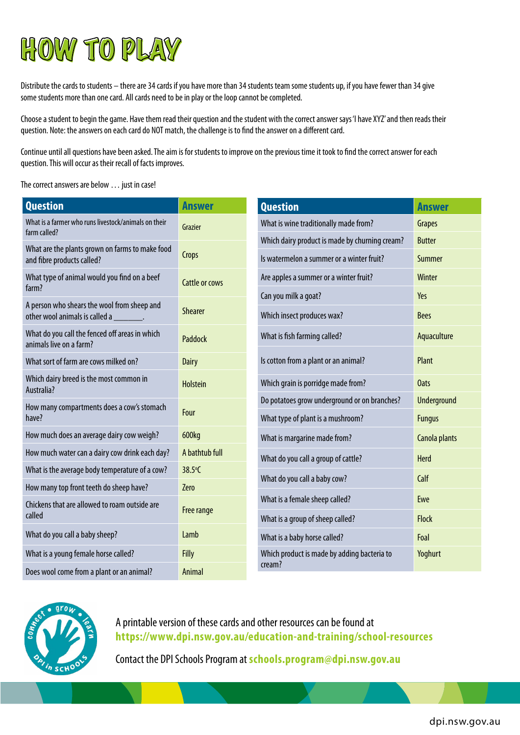

Distribute the cards to students – there are 34 cards if you have more than 34 students team some students up, if you have fewer than 34 give some students more than one card. All cards need to be in play or the loop cannot be completed.

Choose a student to begin the game. Have them read their question and the student with the correct answer says 'I have XYZ' and then reads their question. Note: the answers on each card do NOT match, the challenge is to find the answer on a different card.

Continue until all questions have been asked. The aim is for students to improve on the previous time it took to find the correct answer for each question. This will occur as their recall of facts improves.

The correct answers are below … just in case!

| <b>Question</b>                                                                          | <b>Answer</b>         | <b>Question</b>                                | <b>Answer</b>      |
|------------------------------------------------------------------------------------------|-----------------------|------------------------------------------------|--------------------|
| What is a farmer who runs livestock/animals on their<br>farm called?                     | Grazier               | What is wine traditionally made from?          | <b>Grapes</b>      |
|                                                                                          |                       | Which dairy product is made by churning cream? | <b>Butter</b>      |
| What are the plants grown on farms to make food<br>and fibre products called?            | Crops                 | Is watermelon a summer or a winter fruit?      | Summer             |
| What type of animal would you find on a beef<br>farm?                                    | <b>Cattle or cows</b> | Are apples a summer or a winter fruit?         | Winter             |
|                                                                                          |                       | Can you milk a goat?                           | Yes                |
| A person who shears the wool from sheep and<br>other wool animals is called a _________. | <b>Shearer</b>        | Which insect produces wax?                     | <b>Bees</b>        |
| What do you call the fenced off areas in which<br>animals live on a farm?                | Paddock               | What is fish farming called?                   | Aquaculture        |
| What sort of farm are cows milked on?                                                    | <b>Dairy</b>          | Is cotton from a plant or an animal?           | Plant              |
| Which dairy breed is the most common in<br>Australia?                                    | <b>Holstein</b>       | Which grain is porridge made from?             | <b>Oats</b>        |
| How many compartments does a cow's stomach                                               | Four                  | Do potatoes grow underground or on branches?   | <b>Underground</b> |
| have?                                                                                    |                       | What type of plant is a mushroom?              | <b>Fungus</b>      |
| How much does an average dairy cow weigh?                                                | 600kg                 | What is margarine made from?                   | Canola plants      |
| How much water can a dairy cow drink each day?                                           | A bathtub full        | What do you call a group of cattle?            | Herd               |
| What is the average body temperature of a cow?                                           | 38.5°C                | What do you call a baby cow?                   | Calf               |
| How many top front teeth do sheep have?                                                  | <b>Zero</b>           |                                                |                    |
| Chickens that are allowed to roam outside are                                            |                       | What is a female sheep called?                 | Ewe                |
| called                                                                                   | Free range            | What is a group of sheep called?               | <b>Flock</b>       |
| What do you call a baby sheep?                                                           | Lamb                  | What is a baby horse called?                   | Foal               |
| What is a young female horse called?                                                     | <b>Filly</b>          | Which product is made by adding bacteria to    | Yoghurt            |
| Does wool come from a plant or an animal?                                                | Animal                | cream?                                         |                    |



A printable version of these cards and other resources can be found at **<https://www.dpi.nsw.gov.au/education-and-training/school-resources>**

Contact the DPI Schools Program at **[schools.program@dpi.nsw.gov.au](mailto:schools.program@dpi.nsw.gov.au)**

dpi.nsw.gov.au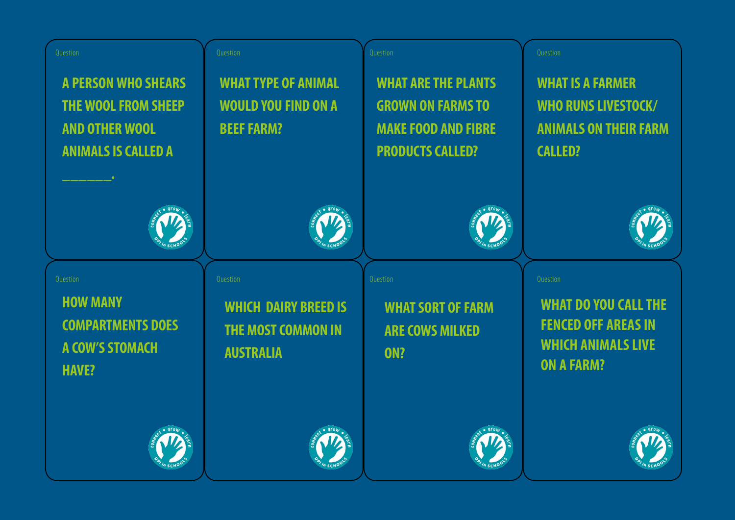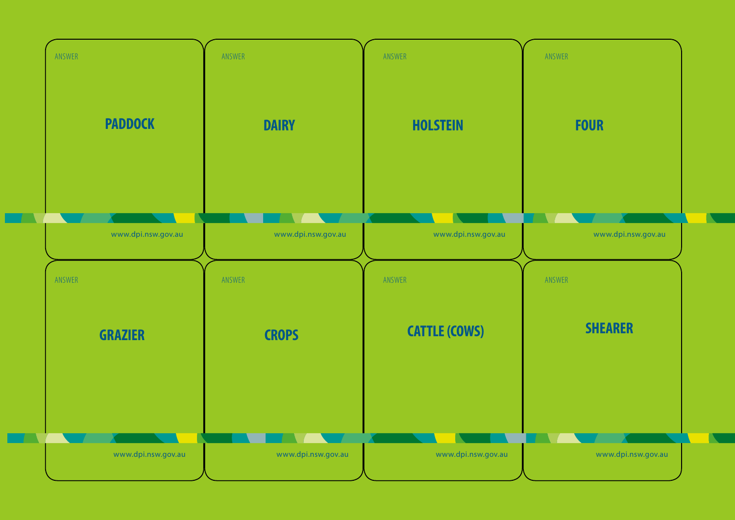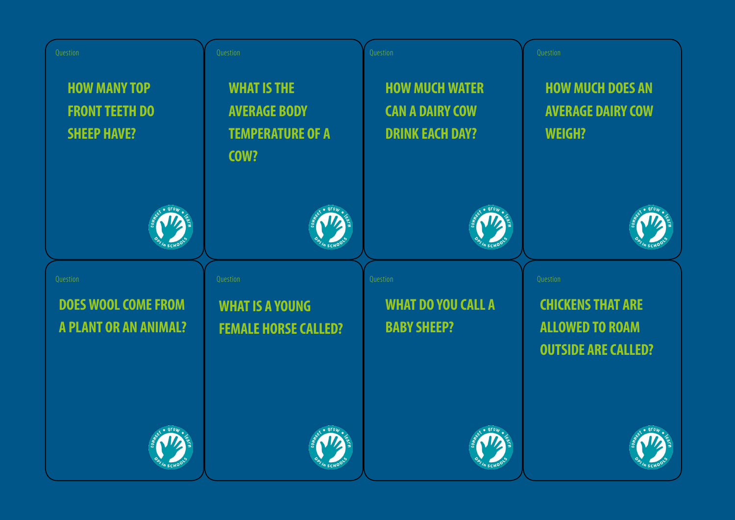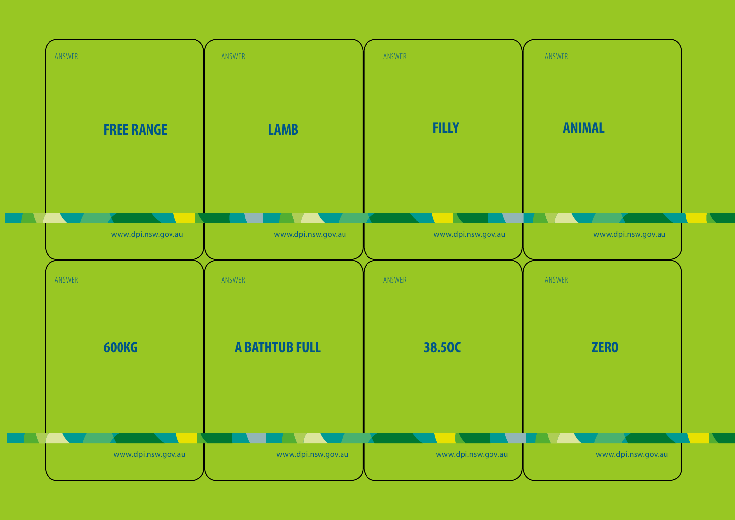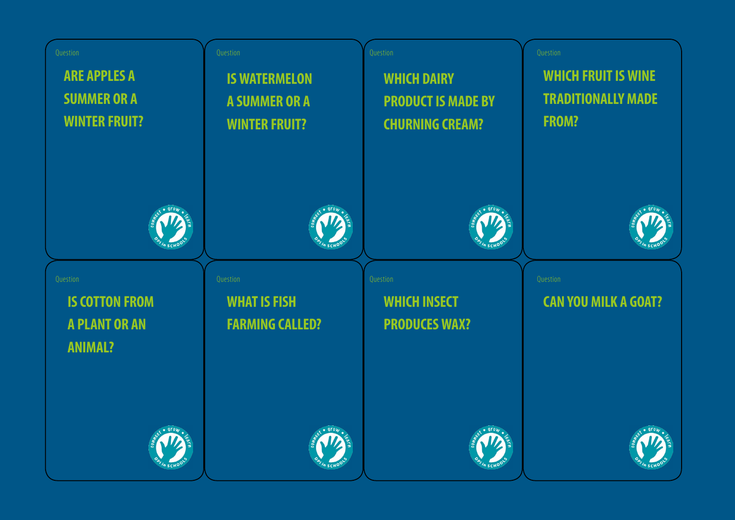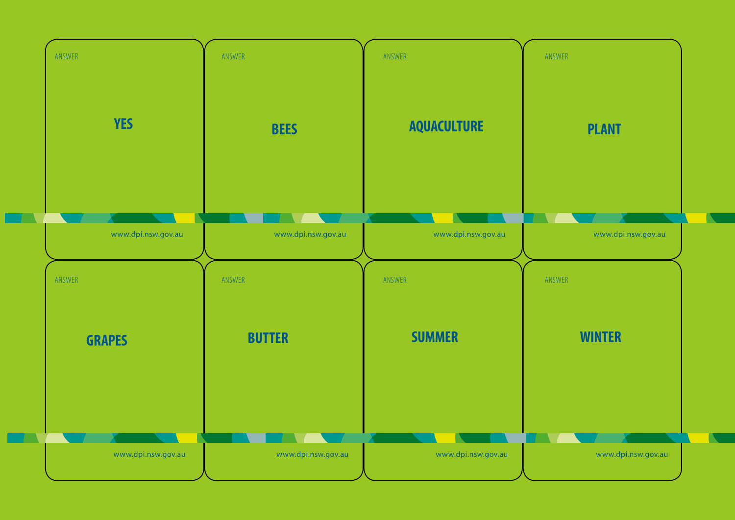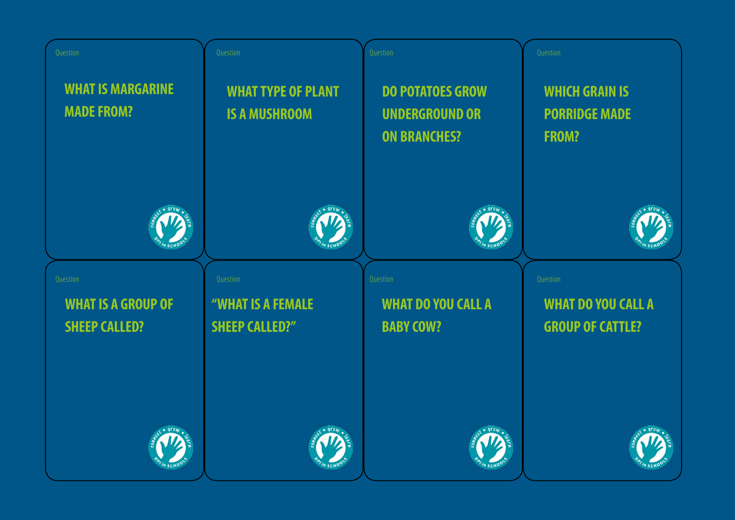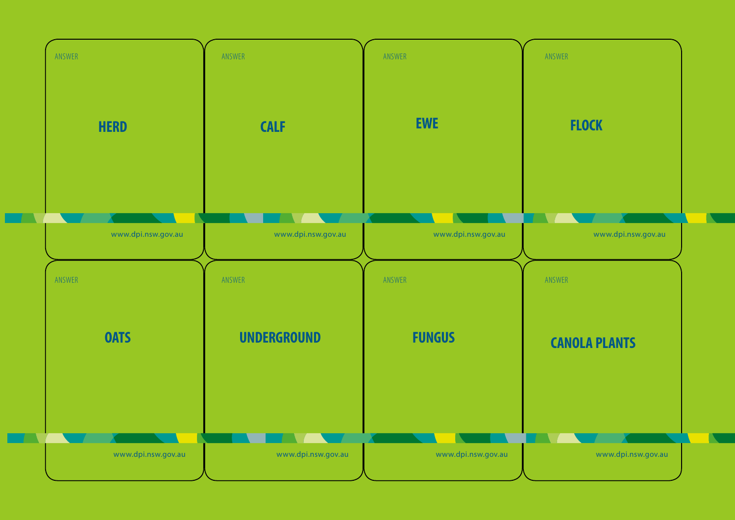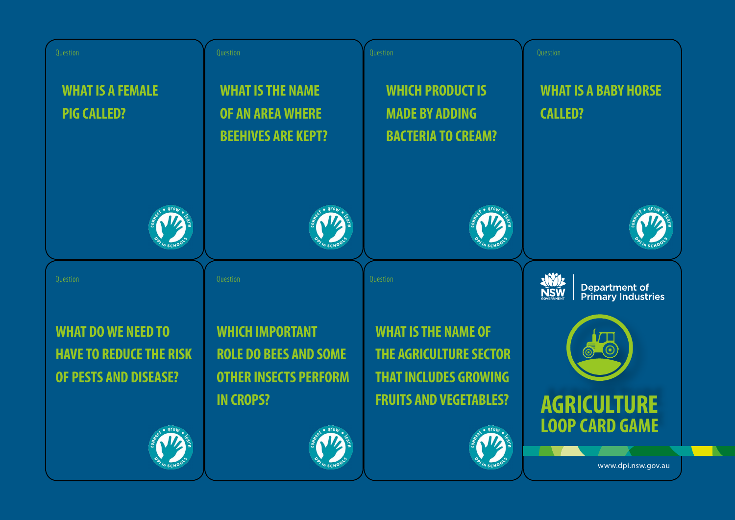